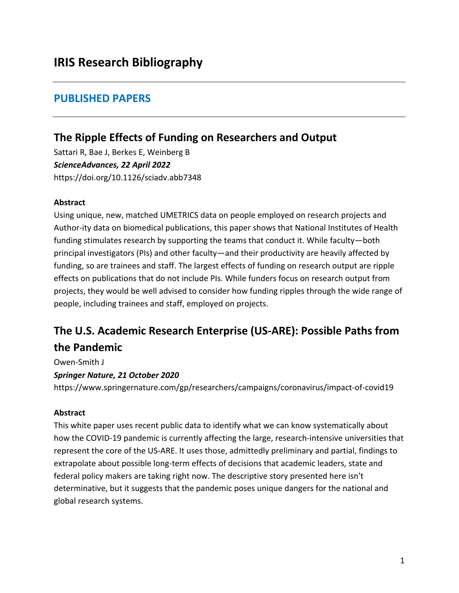### **PUBLISHED PAPERS**

### **The Ripple Effects of Funding on Researchers and Output**

 Sattari R, Bae J, Berkes E, Weinberg B  *ScienceAdvances, 22 April 2022*  <https://doi.org/10.1126/sciadv.abb7348>

#### **Abstract**

 Using unique, new, matched UMETRICS data on people employed on research projects and Author-ity data on biomedical publications, this paper shows that National Institutes of Health funding stimulates research by supporting the teams that conduct it. While faculty—both principal investigators (PIs) and other faculty—and their productivity are heavily affected by funding, so are trainees and staff. The largest effects of funding on research output are ripple effects on publications that do not include PIs. While funders focus on research output from projects, they would be well advised to consider how funding ripples through the wide range of people, including trainees and staff, employed on projects.

## **The U.S. Academic Research Enterprise (US-ARE): Possible Paths from the Pandemic**

Owen-Smith J

### *Springer Nature, 21 October 2020*

<https://www.springernature.com/gp/researchers/campaigns/coronavirus/impact-of-covid19>

#### **Abstract**

 This white paper uses recent public data to identify what we can know systematically about how the COVID-19 pandemic is currently affecting the large, research-intensive universities that represent the core of the US-ARE. It uses those, admittedly preliminary and partial, findings to extrapolate about possible long-term effects of decisions that academic leaders, state and federal policy makers are taking right now. The descriptive story presented here isn't determinative, but it suggests that the pandemic poses unique dangers for the national and global research systems.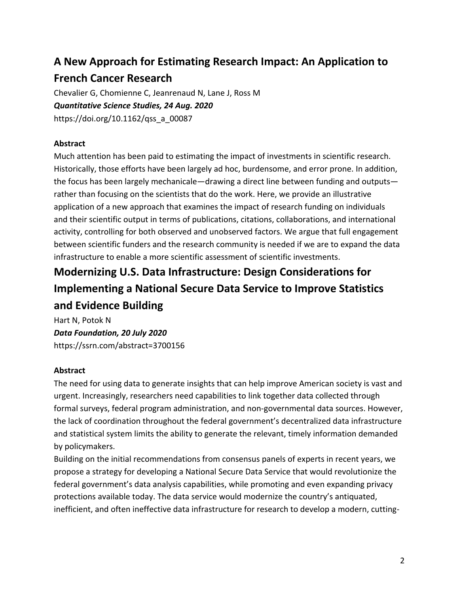# **A New Approach for Estimating Research Impact: An Application to French Cancer Research**

 Chevalier G, Chomienne C, Jeanrenaud N, Lane J, Ross M  *Quantitative Science Studies, 24 Aug. 2020*  [https://doi.org/10.1162/qss\\_a\\_00087](https://doi.org/10.1162/qss_a_00087) 

### **Abstract**

 Much attention has been paid to estimating the impact of investments in scientific research. Historically, those efforts have been largely ad hoc, burdensome, and error prone. In addition, the focus has been largely mechanicale—drawing a direct line between funding and outputs— rather than focusing on the scientists that do the work. Here, we provide an illustrative application of a new approach that examines the impact of research funding on individuals and their scientific output in terms of publications, citations, collaborations, and international activity, controlling for both observed and unobserved factors. We argue that full engagement between scientific funders and the research community is needed if we are to expand the data infrastructure to enable a more scientific assessment of scientific investments.

# **Modernizing U.S. Data Infrastructure: Design Considerations for Implementing a National Secure Data Service to Improve Statistics and Evidence Building**

 Hart N, Potok N  *Data Foundation, 20 July 2020*  <https://ssrn.com/abstract=3700156>

### **Abstract**

 The need for using data to generate insights that can help improve American society is vast and urgent. Increasingly, researchers need capabilities to link together data collected through formal surveys, federal program administration, and non-governmental data sources. However, the lack of coordination throughout the federal government's decentralized data infrastructure and statistical system limits the ability to generate the relevant, timely information demanded by policymakers.

 Building on the initial recommendations from consensus panels of experts in recent years, we propose a strategy for developing a National Secure Data Service that would revolutionize the federal government's data analysis capabilities, while promoting and even expanding privacy protections available today. The data service would modernize the country's antiquated, inefficient, and often ineffective data infrastructure for research to develop a modern, cutting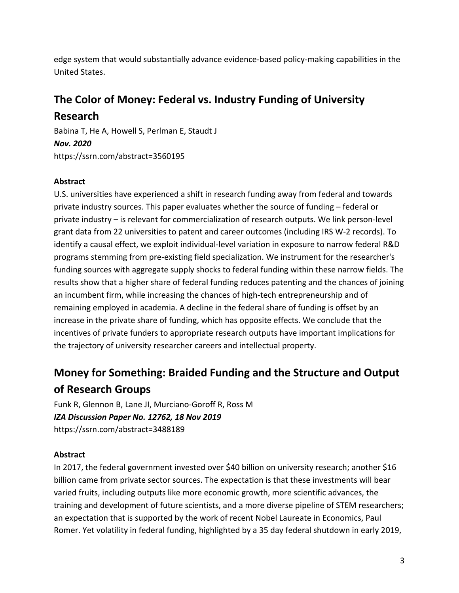edge system that would substantially advance evidence-based policy-making capabilities in the United States.

## **The Color of Money: Federal vs. Industry Funding of University**

### **Research**

 Babina T, He A, Howell S, Perlman E, Staudt J *Nov. 2020*  <https://ssrn.com/abstract=3560195>

### **Abstract**

 U.S. universities have experienced a shift in research funding away from federal and towards private industry sources. This paper evaluates whether the source of funding – federal or private industry – is relevant for commercialization of research outputs. We link person-level grant data from 22 universities to patent and career outcomes (including IRS W-2 records). To identify a causal effect, we exploit individual-level variation in exposure to narrow federal R&D programs stemming from pre-existing field specialization. We instrument for the researcher's funding sources with aggregate supply shocks to federal funding within these narrow fields. The results show that a higher share of federal funding reduces patenting and the chances of joining an incumbent firm, while increasing the chances of high-tech entrepreneurship and of remaining employed in academia. A decline in the federal share of funding is offset by an increase in the private share of funding, which has opposite effects. We conclude that the incentives of private funders to appropriate research outputs have important implications for the trajectory of university researcher careers and intellectual property.

# **Money for Something: Braided Funding and the Structure and Output of Research Groups**

 Funk R, Glennon B, Lane JI, Murciano-Goroff R, Ross M  *IZA Discussion Paper No. 12762, 18 Nov 2019*  <https://ssrn.com/abstract=3488189>

### **Abstract**

 In 2017, the federal government invested over \$40 billion on university research; another \$16 billion came from private sector sources. The expectation is that these investments will bear varied fruits, including outputs like more economic growth, more scientific advances, the training and development of future scientists, and a more diverse pipeline of STEM researchers; an expectation that is supported by the work of recent Nobel Laureate in Economics, Paul Romer. Yet volatility in federal funding, highlighted by a 35 day federal shutdown in early 2019,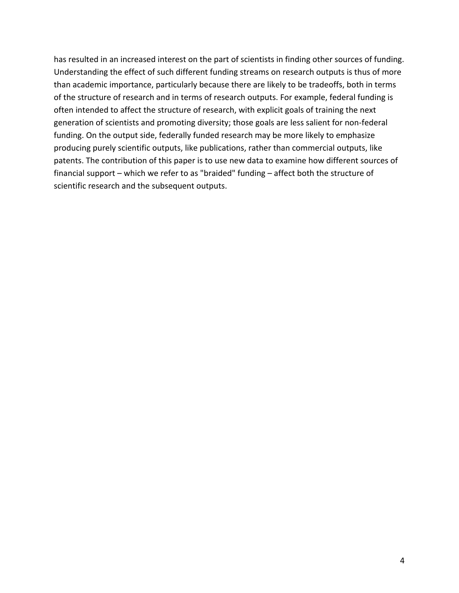has resulted in an increased interest on the part of scientists in finding other sources of funding. Understanding the effect of such different funding streams on research outputs is thus of more than academic importance, particularly because there are likely to be tradeoffs, both in terms of the structure of research and in terms of research outputs. For example, federal funding is often intended to affect the structure of research, with explicit goals of training the next generation of scientists and promoting diversity; those goals are less salient for non-federal funding. On the output side, federally funded research may be more likely to emphasize producing purely scientific outputs, like publications, rather than commercial outputs, like patents. The contribution of this paper is to use new data to examine how different sources of financial support – which we refer to as "braided" funding – affect both the structure of scientific research and the subsequent outputs.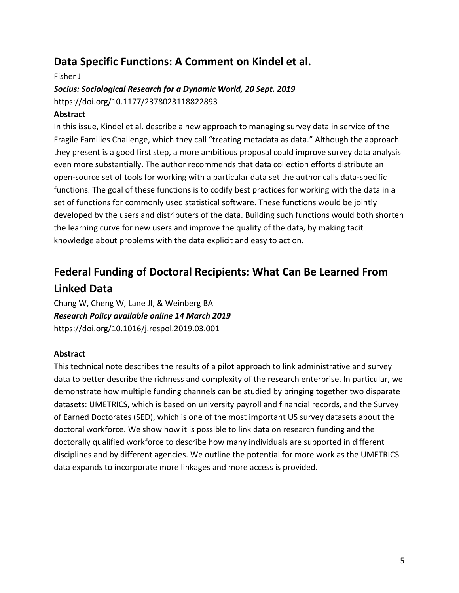## **Data Specific Functions: A Comment on Kindel et al.**

Fisher J

 *Socius: Sociological Research for a Dynamic World, 20 Sept. 2019*  <https://doi.org/10.1177/2378023118822893>

### **Abstract**

 In this issue, Kindel et al. describe a new approach to managing survey data in service of the Fragile Families Challenge, which they call "treating metadata as data." Although the approach they present is a good first step, a more ambitious proposal could improve survey data analysis even more substantially. The author recommends that data collection efforts distribute an open-source set of tools for working with a particular data set the author calls data-specific functions. The goal of these functions is to codify best practices for working with the data in a set of functions for commonly used statistical software. These functions would be jointly developed by the users and distributers of the data. Building such functions would both shorten the learning curve for new users and improve the quality of the data, by making tacit knowledge about problems with the data explicit and easy to act on.

## **Federal Funding of Doctoral Recipients: What Can Be Learned From Linked Data**

 Chang W, Cheng W, Lane JI, & Weinberg BA  *Research Policy available online 14 March 2019*  <https://doi.org/10.1016/j.respol.2019.03.001>

### **Abstract**

 This technical note describes the results of a pilot approach to link administrative and survey data to better describe the richness and complexity of the research enterprise. In particular, we demonstrate how multiple funding channels can be studied by bringing together two disparate datasets: UMETRICS, which is based on university payroll and financial records, and the Survey of Earned Doctorates (SED), which is one of the most important US survey datasets about the doctoral workforce. We show how it is possible to link data on research funding and the doctorally qualified workforce to describe how many individuals are supported in different disciplines and by different agencies. We outline the potential for more work as the UMETRICS data expands to incorporate more linkages and more access is provided.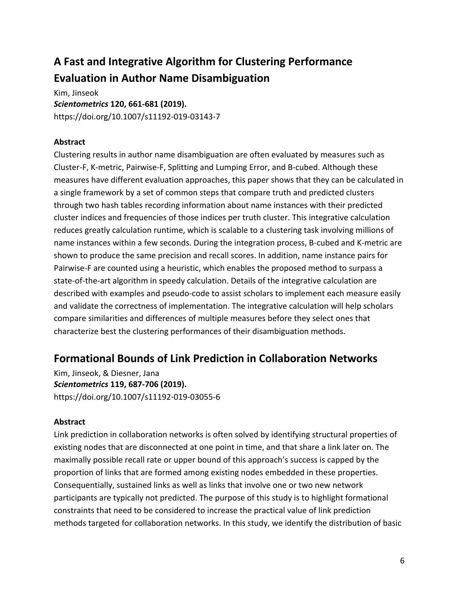# **A Fast and Integrative Algorithm for Clustering Performance Evaluation in Author Name Disambiguation**

 *Scientometrics* **120, 661-681 (2019).**  Kim, Jinseok <https://doi.org/10.1007/s11192-019-03143-7>

### **Abstract**

 Clustering results in author name disambiguation are often evaluated by measures such as Cluster-F, K-metric, Pairwise-F, Splitting and Lumping Error, and B-cubed. Although these measures have different evaluation approaches, this paper shows that they can be calculated in a single framework by a set of common steps that compare truth and predicted clusters through two hash tables recording information about name instances with their predicted cluster indices and frequencies of those indices per truth cluster. This integrative calculation reduces greatly calculation runtime, which is scalable to a clustering task involving millions of name instances within a few seconds. During the integration process, B-cubed and K-metric are shown to produce the same precision and recall scores. In addition, name instance pairs for Pairwise-F are counted using a heuristic, which enables the proposed method to surpass a state-of-the-art algorithm in speedy calculation. Details of the integrative calculation are described with examples and pseudo-code to assist scholars to implement each measure easily and validate the correctness of implementation. The integrative calculation will help scholars compare similarities and differences of multiple measures before they select ones that characterize best the clustering performances of their disambiguation methods.

## **Formational Bounds of Link Prediction in Collaboration Networks**

 Kim, Jinseok, & Diesner, Jana  *Scientometrics* **119, 687-706 (2019).**  <https://doi.org/10.1007/s11192-019-03055-6>

### **Abstract**

 Link prediction in collaboration networks is often solved by identifying structural properties of existing nodes that are disconnected at one point in time, and that share a link later on. The maximally possible recall rate or upper bound of this approach's success is capped by the proportion of links that are formed among existing nodes embedded in these properties. Consequentially, sustained links as well as links that involve one or two new network participants are typically not predicted. The purpose of this study is to highlight formational constraints that need to be considered to increase the practical value of link prediction methods targeted for collaboration networks. In this study, we identify the distribution of basic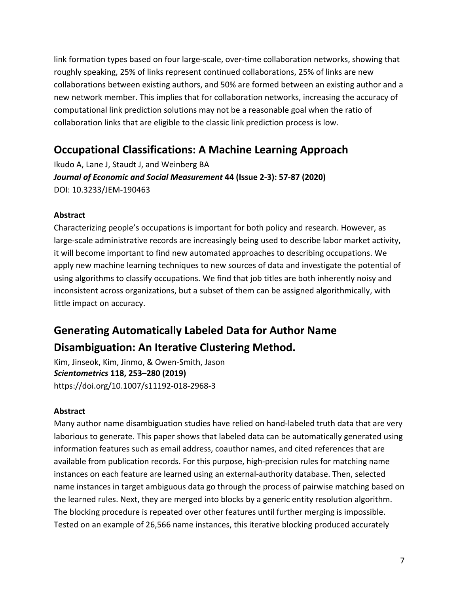link formation types based on four large-scale, over-time collaboration networks, showing that roughly speaking, 25% of links represent continued collaborations, 25% of links are new collaborations between existing authors, and 50% are formed between an existing author and a new network member. This implies that for collaboration networks, increasing the accuracy of computational link prediction solutions may not be a reasonable goal when the ratio of collaboration links that are eligible to the classic link prediction process is low.

## **Occupational Classifications: A Machine Learning Approach**

 Ikudo A, Lane J, Staudt J, and Weinberg BA  *Journal of Economic and Social Measurement* **44 (Issue 2-3): 57-87 (2020)**  DOI: 10.3233/JEM-190463

### **Abstract**

 Characterizing people's occupations is important for both policy and research. However, as large-scale administrative records are increasingly being used to describe labor market activity, it will become important to find new automated approaches to describing occupations. We apply new machine learning techniques to new sources of data and investigate the potential of using algorithms to classify occupations. We find that job titles are both inherently noisy and inconsistent across organizations, but a subset of them can be assigned algorithmically, with little impact on accuracy.

# **Generating Automatically Labeled Data for Author Name Disambiguation: An Iterative Clustering Method.**

 Kim, Jinseok, Kim, Jinmo, & Owen-Smith, Jason  *Scientometrics* **118, 253–280 (2019)**  <https://doi.org/10.1007/s11192-018-2968-3>

### **Abstract**

 Many author name disambiguation studies have relied on hand-labeled truth data that are very laborious to generate. This paper shows that labeled data can be automatically generated using information features such as email address, coauthor names, and cited references that are available from publication records. For this purpose, high-precision rules for matching name instances on each feature are learned using an external-authority database. Then, selected name instances in target ambiguous data go through the process of pairwise matching based on the learned rules. Next, they are merged into blocks by a generic entity resolution algorithm. The blocking procedure is repeated over other features until further merging is impossible. Tested on an example of 26,566 name instances, this iterative blocking produced accurately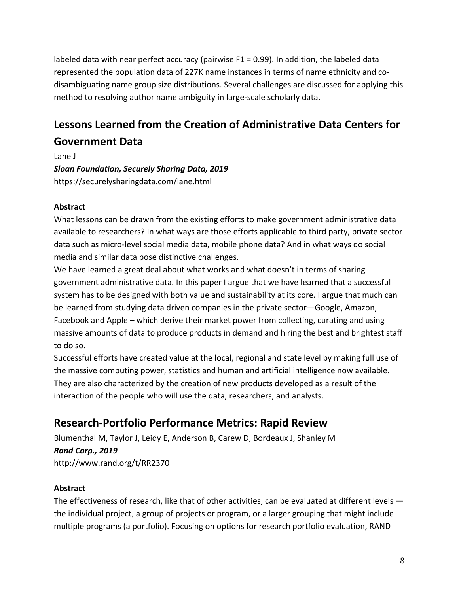labeled data with near perfect accuracy (pairwise F1 = 0.99). In addition, the labeled data represented the population data of 227K name instances in terms of name ethnicity and co- disambiguating name group size distributions. Several challenges are discussed for applying this method to resolving author name ambiguity in large-scale scholarly data.

# **Lessons Learned from the Creation of Administrative Data Centers for Government Data**

 Lane J  *Sloan Foundation, Securely Sharing Data, 2019*  <https://securelysharingdata.com/lane.html>

### **Abstract**

 What lessons can be drawn from the existing efforts to make government administrative data available to researchers? In what ways are those efforts applicable to third party, private sector data such as micro-level social media data, mobile phone data? And in what ways do social media and similar data pose distinctive challenges.

 We have learned a great deal about what works and what doesn't in terms of sharing government administrative data. In this paper I argue that we have learned that a successful system has to be designed with both value and sustainability at its core. I argue that much can be learned from studying data driven companies in the private sector—Google, Amazon, Facebook and Apple – which derive their market power from collecting, curating and using massive amounts of data to produce products in demand and hiring the best and brightest staff to do so.

 Successful efforts have created value at the local, regional and state level by making full use of the massive computing power, statistics and human and artificial intelligence now available. They are also characterized by the creation of new products developed as a result of the interaction of the people who will use the data, researchers, and analysts.

## **Research-Portfolio Performance Metrics: Rapid Review**

 Blumenthal M, Taylor J, Leidy E, Anderson B, Carew D, Bordeaux J, Shanley M  *Rand Corp., 2019*  <http://www.rand.org/t/RR2370>

### **Abstract**

 The effectiveness of research, like that of other activities, can be evaluated at different levels — the individual project, a group of projects or program, or a larger grouping that might include multiple programs (a portfolio). Focusing on options for research portfolio evaluation, RAND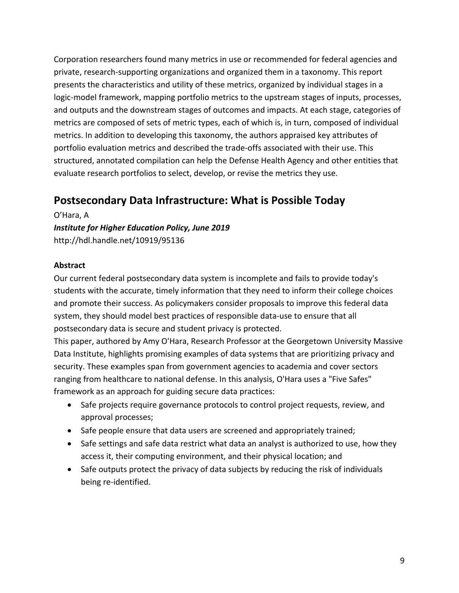Corporation researchers found many metrics in use or recommended for federal agencies and private, research-supporting organizations and organized them in a taxonomy. This report presents the characteristics and utility of these metrics, organized by individual stages in a logic-model framework, mapping portfolio metrics to the upstream stages of inputs, processes, and outputs and the downstream stages of outcomes and impacts. At each stage, categories of metrics are composed of sets of metric types, each of which is, in turn, composed of individual metrics. In addition to developing this taxonomy, the authors appraised key attributes of portfolio evaluation metrics and described the trade-offs associated with their use. This structured, annotated compilation can help the Defense Health Agency and other entities that evaluate research portfolios to select, develop, or revise the metrics they use.

## **Postsecondary Data Infrastructure: What is Possible Today**

 O'Hara, A  *Institute for Higher Education Policy, June 2019*  <http://hdl.handle.net/10919/95136>

### **Abstract**

 Our current federal postsecondary data system is incomplete and fails to provide today's students with the accurate, timely information that they need to inform their college choices and promote their success. As policymakers consider proposals to improve this federal data system, they should model best practices of responsible data-use to ensure that all postsecondary data is secure and student privacy is protected.

 This paper, authored by Amy O'Hara, Research Professor at the Georgetown University Massive Data Institute, highlights promising examples of data systems that are prioritizing privacy and security. These examples span from government agencies to academia and cover sectors ranging from healthcare to national defense. In this analysis, O'Hara uses a "Five Safes" framework as an approach for guiding secure data practices:

- • Safe projects require governance protocols to control project requests, review, and approval processes;
- Safe people ensure that data users are screened and appropriately trained;
- • Safe settings and safe data restrict what data an analyst is authorized to use, how they access it, their computing environment, and their physical location; and
- • Safe outputs protect the privacy of data subjects by reducing the risk of individuals being re-identified.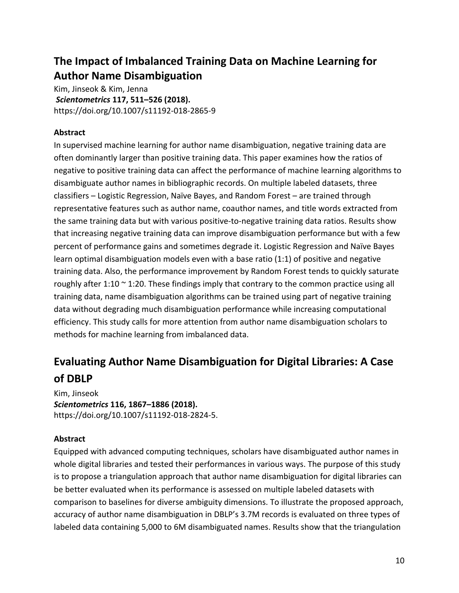## **The Impact of Imbalanced Training Data on Machine Learning for Author Name Disambiguation**

 Kim, Jinseok & Kim, Jenna  *Scientometrics* **117, 511–526 (2018).**  <https://doi.org/10.1007/s11192-018-2865-9>

### **Abstract**

 In supervised machine learning for author name disambiguation, negative training data are often dominantly larger than positive training data. This paper examines how the ratios of negative to positive training data can affect the performance of machine learning algorithms to disambiguate author names in bibliographic records. On multiple labeled datasets, three classifiers – Logistic Regression, Naïve Bayes, and Random Forest – are trained through representative features such as author name, coauthor names, and title words extracted from the same training data but with various positive-to-negative training data ratios. Results show that increasing negative training data can improve disambiguation performance but with a few percent of performance gains and sometimes degrade it. Logistic Regression and Naïve Bayes learn optimal disambiguation models even with a base ratio (1:1) of positive and negative training data. Also, the performance improvement by Random Forest tends to quickly saturate roughly after 1:10 ~ 1:20. These findings imply that contrary to the common practice using all training data, name disambiguation algorithms can be trained using part of negative training data without degrading much disambiguation performance while increasing computational efficiency. This study calls for more attention from author name disambiguation scholars to methods for machine learning from imbalanced data.

## **Evaluating Author Name Disambiguation for Digital Libraries: A Case of DBLP**

 *Scientometrics* **116, 1867–1886 (2018).**  Kim, Jinseok [https://doi.org/10.1007/s11192-018-2824-5.](https://doi.org/10.1007/s11192-018-2824-5)

### **Abstract**

 Equipped with advanced computing techniques, scholars have disambiguated author names in whole digital libraries and tested their performances in various ways. The purpose of this study is to propose a triangulation approach that author name disambiguation for digital libraries can be better evaluated when its performance is assessed on multiple labeled datasets with comparison to baselines for diverse ambiguity dimensions. To illustrate the proposed approach, accuracy of author name disambiguation in DBLP's 3.7M records is evaluated on three types of labeled data containing 5,000 to 6M disambiguated names. Results show that the triangulation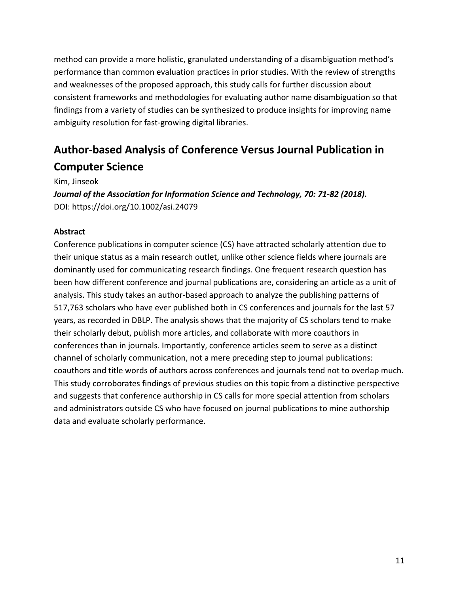method can provide a more holistic, granulated understanding of a disambiguation method's performance than common evaluation practices in prior studies. With the review of strengths and weaknesses of the proposed approach, this study calls for further discussion about consistent frameworks and methodologies for evaluating author name disambiguation so that findings from a variety of studies can be synthesized to produce insights for improving name ambiguity resolution for fast-growing digital libraries.

## **Author-based Analysis of Conference Versus Journal Publication in Computer Science**

Kim, Jinseok

 *Journal of the Association for Information Science and Technology, 70: 71-82 (2018).*  DOI:<https://doi.org/10.1002/asi.24079>

### **Abstract**

 Conference publications in computer science (CS) have attracted scholarly attention due to their unique status as a main research outlet, unlike other science fields where journals are dominantly used for communicating research findings. One frequent research question has been how different conference and journal publications are, considering an article as a unit of analysis. This study takes an author-based approach to analyze the publishing patterns of 517,763 scholars who have ever published both in CS conferences and journals for the last 57 years, as recorded in DBLP. The analysis shows that the majority of CS scholars tend to make their scholarly debut, publish more articles, and collaborate with more coauthors in conferences than in journals. Importantly, conference articles seem to serve as a distinct channel of scholarly communication, not a mere preceding step to journal publications: coauthors and title words of authors across conferences and journals tend not to overlap much. This study corroborates findings of previous studies on this topic from a distinctive perspective and suggests that conference authorship in CS calls for more special attention from scholars and administrators outside CS who have focused on journal publications to mine authorship data and evaluate scholarly performance.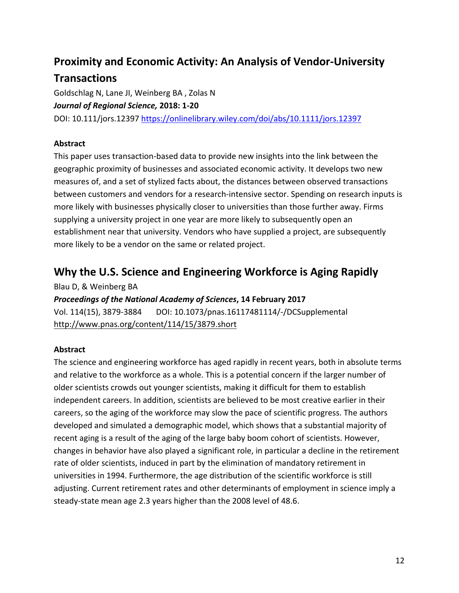# **Proximity and Economic Activity: An Analysis of Vendor-University Transactions**

 Goldschlag N, Lane JI, Weinberg BA , Zolas N  *Journal of Regional Science,* **2018: 1-20**  DOI: 10.111/jors.12397<https://onlinelibrary.wiley.com/doi/abs/10.1111/jors.12397>

### **Abstract**

 This paper uses transaction-based data to provide new insights into the link between the geographic proximity of businesses and associated economic activity. It develops two new measures of, and a set of stylized facts about, the distances between observed transactions between customers and vendors for a research-intensive sector. Spending on research inputs is more likely with businesses physically closer to universities than those further away. Firms supplying a university project in one year are more likely to subsequently open an establishment near that university. Vendors who have supplied a project, are subsequently more likely to be a vendor on the same or related project.

## **Why the U.S. Science and Engineering Workforce is Aging Rapidly**

Blau D, & Weinberg BA

 *Proceedings of the National Academy of Sciences***, 14 February 2017**  Vol. 114(15), 3879-3884 DOI: 10.1073/pnas.16117481114/-/DCSupplemental <http://www.pnas.org/content/114/15/3879.short>

### **Abstract**

 The science and engineering workforce has aged rapidly in recent years, both in absolute terms and relative to the workforce as a whole. This is a potential concern if the larger number of older scientists crowds out younger scientists, making it difficult for them to establish independent careers. In addition, scientists are believed to be most creative earlier in their careers, so the aging of the workforce may slow the pace of scientific progress. The authors developed and simulated a demographic model, which shows that a substantial majority of recent aging is a result of the aging of the large baby boom cohort of scientists. However, changes in behavior have also played a significant role, in particular a decline in the retirement rate of older scientists, induced in part by the elimination of mandatory retirement in universities in 1994. Furthermore, the age distribution of the scientific workforce is still adjusting. Current retirement rates and other determinants of employment in science imply a steady-state mean age 2.3 years higher than the 2008 level of 48.6.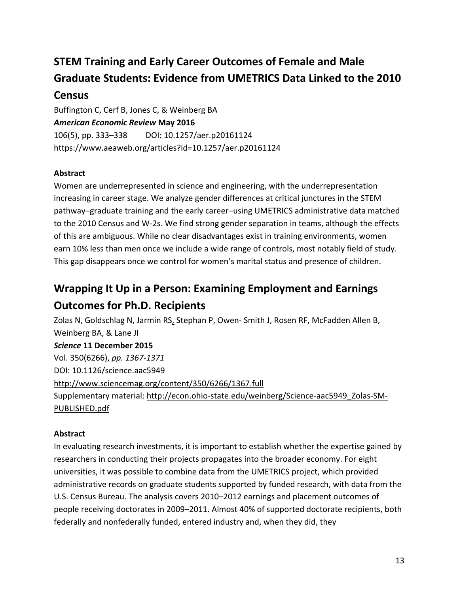## **STEM Training and Early Career Outcomes of Female and Male Graduate Students: Evidence from UMETRICS Data Linked to the 2010 Census**

 Buffington C, Cerf B, Jones C, & Weinberg BA  *American Economic Review* **May 2016**  106(5), pp. 333-338 106(5), pp. 333–338 DOI: 10.1257/aer.p20161124 <https://www.aeaweb.org/articles?id=10.1257/aer.p20161124>

### **Abstract**

 Women are underrepresented in science and engineering, with the underrepresentation increasing in career stage. We analyze gender differences at critical junctures in the STEM pathway–graduate training and the early career–using UMETRICS administrative data matched to the 2010 Census and W-2s. We find strong gender separation in teams, although the effects of this are ambiguous. While no clear disadvantages exist in training environments, women earn 10% less than men once we include a wide range of controls, most notably field of study. This gap disappears once we control for women's marital status and presence of children.

# **Wrapping It Up in a Person: Examining Employment and Earnings Outcomes for Ph.D. Recipients**

Zolas N, Goldschlag N, Jarmin RS, Stephan P, Owen- Smith J, Rosen RF, McFadden Allen B, Weinberg BA, & Lane JI  *Science* **11 December 2015**  Vol. 350(6266), *pp. 1367-1371*  Supplementary material: [http://econ.ohio-state.edu/weinberg/Science-aac5949\\_Zolas-SM-](http://econ.ohio-state.edu/weinberg/Science-aac5949_Zolas-SM)DOI: 10.1126/science.aac5949 <http://www.sciencemag.org/content/350/6266/1367.full> PUBLISHED.pdf

### **Abstract**

 In evaluating research investments, it is important to establish whether the expertise gained by researchers in conducting their projects propagates into the broader economy. For eight universities, it was possible to combine data from the UMETRICS project, which provided administrative records on graduate students supported by funded research, with data from the U.S. Census Bureau. The analysis covers 2010–2012 earnings and placement outcomes of people receiving doctorates in 2009–2011. Almost 40% of supported doctorate recipients, both federally and nonfederally funded, entered industry and, when they did, they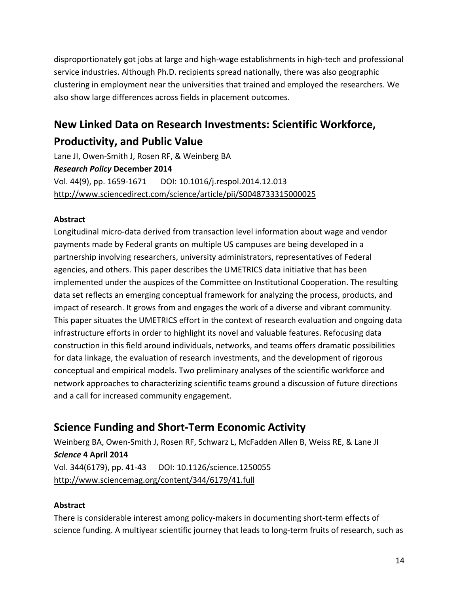disproportionately got jobs at large and high-wage establishments in high-tech and professional service industries. Although Ph.D. recipients spread nationally, there was also geographic clustering in employment near the universities that trained and employed the researchers. We also show large differences across fields in placement outcomes.

# **New Linked Data on Research Investments: Scientific Workforce, Productivity, and Public Value**

 Lane JI, Owen-Smith J, Rosen RF, & Weinberg BA  *Research Policy* **December 2014**  Vol. 44(9), pp. 1659-1671 DOI: 10.1016/j.respol.2014.12.013 <http://www.sciencedirect.com/science/article/pii/S0048733315000025>

### **Abstract**

 Longitudinal micro-data derived from transaction level information about wage and vendor payments made by Federal grants on multiple US campuses are being developed in a partnership involving researchers, university administrators, representatives of Federal agencies, and others. This paper describes the UMETRICS data initiative that has been implemented under the auspices of the Committee on Institutional Cooperation. The resulting data set reflects an emerging conceptual framework for analyzing the process, products, and impact of research. It grows from and engages the work of a diverse and vibrant community. This paper situates the UMETRICS effort in the context of research evaluation and ongoing data infrastructure efforts in order to highlight its novel and valuable features. Refocusing data construction in this field around individuals, networks, and teams offers dramatic possibilities for data linkage, the evaluation of research investments, and the development of rigorous conceptual and empirical models. Two preliminary analyses of the scientific workforce and network approaches to characterizing scientific teams ground a discussion of future directions and a call for increased community engagement.

## **Science Funding and Short-Term Economic Activity**

 Weinberg BA, Owen-Smith J, Rosen RF, Schwarz L, McFadden Allen B, Weiss RE, & Lane JI  *Science* **4 April 2014**  Vol. 344(6179), pp. 41-43 DOI: 10.1126/science.1250055 <http://www.sciencemag.org/content/344/6179/41.full>

### **Abstract**

 There is considerable interest among policy-makers in documenting short-term effects of science funding. A multiyear scientific journey that leads to long-term fruits of research, such as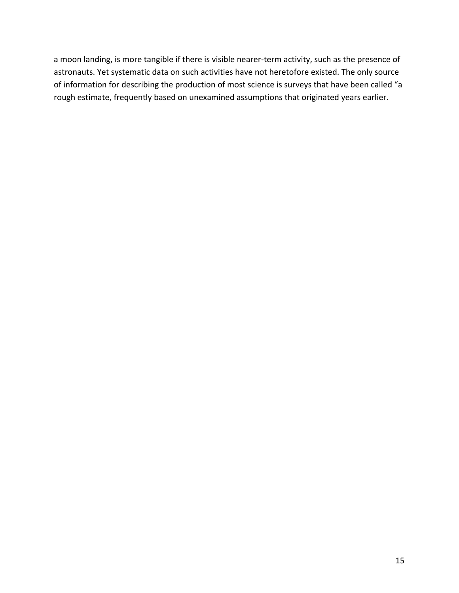a moon landing, is more tangible if there is visible nearer-term activity, such as the presence of astronauts. Yet systematic data on such activities have not heretofore existed. The only source of information for describing the production of most science is surveys that have been called "a rough estimate, frequently based on unexamined assumptions that originated years earlier.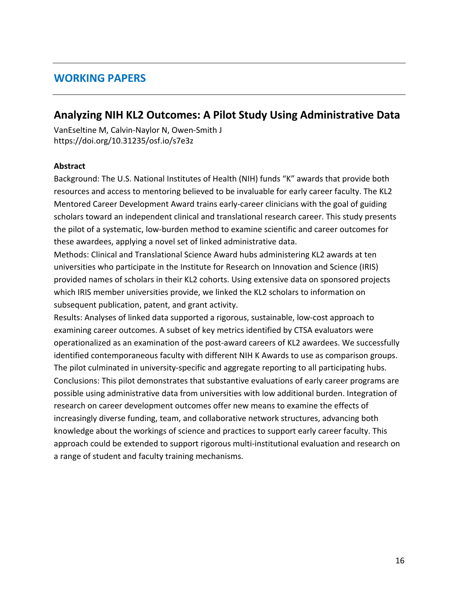### **WORKING PAPERS**

### **Analyzing NIH KL2 Outcomes: A Pilot Study Using Administrative Data**

 VanEseltine M, Calvin-Naylor N, Owen-Smith J <https://doi.org/10.31235/osf.io/s7e3z>

#### **Abstract**

 Background: The U.S. National Institutes of Health (NIH) funds "K" awards that provide both resources and access to mentoring believed to be invaluable for early career faculty. The KL2 Mentored Career Development Award trains early-career clinicians with the goal of guiding scholars toward an independent clinical and translational research career. This study presents the pilot of a systematic, low-burden method to examine scientific and career outcomes for these awardees, applying a novel set of linked administrative data.

 Methods: Clinical and Translational Science Award hubs administering KL2 awards at ten universities who participate in the Institute for Research on Innovation and Science (IRIS) provided names of scholars in their KL2 cohorts. Using extensive data on sponsored projects which IRIS member universities provide, we linked the KL2 scholars to information on subsequent publication, patent, and grant activity.

 Results: Analyses of linked data supported a rigorous, sustainable, low-cost approach to examining career outcomes. A subset of key metrics identified by CTSA evaluators were operationalized as an examination of the post-award careers of KL2 awardees. We successfully identified contemporaneous faculty with different NIH K Awards to use as comparison groups. The pilot culminated in university-specific and aggregate reporting to all participating hubs. Conclusions: This pilot demonstrates that substantive evaluations of early career programs are possible using administrative data from universities with low additional burden. Integration of research on career development outcomes offer new means to examine the effects of increasingly diverse funding, team, and collaborative network structures, advancing both knowledge about the workings of science and practices to support early career faculty. This approach could be extended to support rigorous multi-institutional evaluation and research on a range of student and faculty training mechanisms.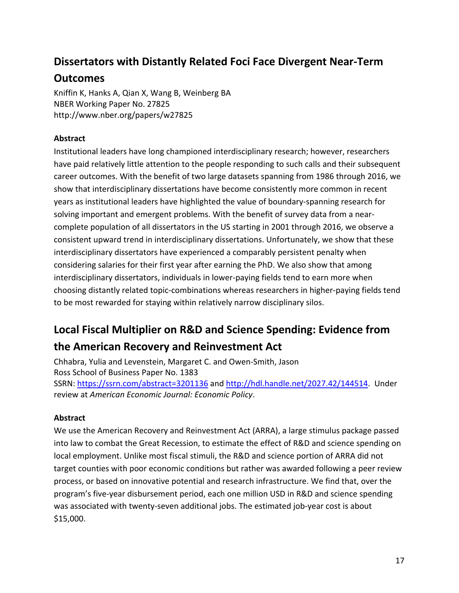## **Dissertators with Distantly Related Foci Face Divergent Near-Term**

## **Outcomes**

 Kniffin K, Hanks A, Qian X, Wang B, Weinberg BA NBER Working Paper No. 27825 <http://www.nber.org/papers/w27825>

### **Abstract**

 Institutional leaders have long championed interdisciplinary research; however, researchers have paid relatively little attention to the people responding to such calls and their subsequent career outcomes. With the benefit of two large datasets spanning from 1986 through 2016, we show that interdisciplinary dissertations have become consistently more common in recent years as institutional leaders have highlighted the value of boundary-spanning research for solving important and emergent problems. With the benefit of survey data from a near- complete population of all dissertators in the US starting in 2001 through 2016, we observe a consistent upward trend in interdisciplinary dissertations. Unfortunately, we show that these interdisciplinary dissertators have experienced a comparably persistent penalty when considering salaries for their first year after earning the PhD. We also show that among interdisciplinary dissertators, individuals in lower-paying fields tend to earn more when choosing distantly related topic-combinations whereas researchers in higher-paying fields tend to be most rewarded for staying within relatively narrow disciplinary silos.

# **Local Fiscal Multiplier on R&D and Science Spending: Evidence from the American Recovery and Reinvestment Act**

 Chhabra, Yulia and Levenstein, Margaret C. and Owen-Smith, Jason Ross School of Business Paper No. 1383 SSRN:<https://ssrn.com/abstract=3201136>and <http://hdl.handle.net/2027.42/144514>. Under review at *American Economic Journal: Economic Policy*.

### **Abstract**

 We use the American Recovery and Reinvestment Act (ARRA), a large stimulus package passed into law to combat the Great Recession, to estimate the effect of R&D and science spending on local employment. Unlike most fiscal stimuli, the R&D and science portion of ARRA did not target counties with poor economic conditions but rather was awarded following a peer review process, or based on innovative potential and research infrastructure. We find that, over the program's five-year disbursement period, each one million USD in R&D and science spending was associated with twenty-seven additional jobs. The estimated job-year cost is about \$15,000.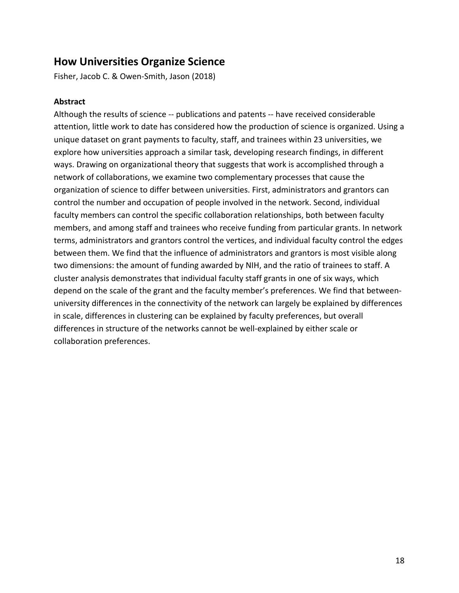## **How Universities Organize Science**

Fisher, Jacob C. & Owen-Smith, Jason (2018)

#### **Abstract**

 Although the results of science -- publications and patents -- have received considerable attention, little work to date has considered how the production of science is organized. Using a unique dataset on grant payments to faculty, staff, and trainees within 23 universities, we explore how universities approach a similar task, developing research findings, in different ways. Drawing on organizational theory that suggests that work is accomplished through a network of collaborations, we examine two complementary processes that cause the organization of science to differ between universities. First, administrators and grantors can control the number and occupation of people involved in the network. Second, individual faculty members can control the specific collaboration relationships, both between faculty members, and among staff and trainees who receive funding from particular grants. In network terms, administrators and grantors control the vertices, and individual faculty control the edges between them. We find that the influence of administrators and grantors is most visible along two dimensions: the amount of funding awarded by NIH, and the ratio of trainees to staff. A cluster analysis demonstrates that individual faculty staff grants in one of six ways, which depend on the scale of the grant and the faculty member's preferences. We find that between- university differences in the connectivity of the network can largely be explained by differences in scale, differences in clustering can be explained by faculty preferences, but overall differences in structure of the networks cannot be well-explained by either scale or collaboration preferences.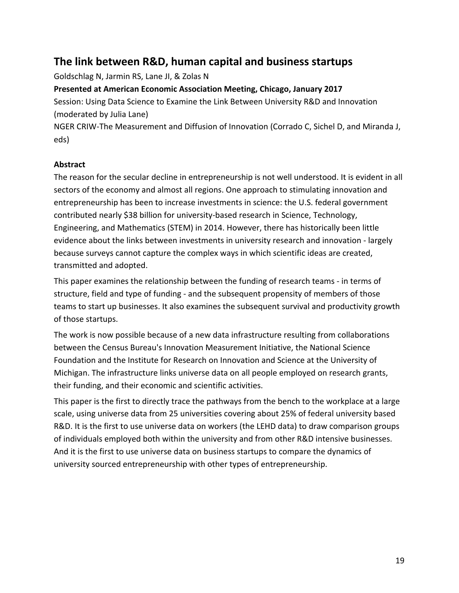## **The link between R&D, human capital and business startups**

Goldschlag N, Jarmin RS, Lane JI, & Zolas N

 **Presented at American Economic Association Meeting, Chicago, January 2017**  Session: Using Data Science to Examine the Link Between University R&D and Innovation (moderated by Julia Lane)

 NGER CRIW-The Measurement and Diffusion of Innovation (Corrado C, Sichel D, and Miranda J, eds)

### **Abstract**

 The reason for the secular decline in entrepreneurship is not well understood. It is evident in all sectors of the economy and almost all regions. One approach to stimulating innovation and entrepreneurship has been to increase investments in science: the U.S. federal government contributed nearly \$38 billion for university-based research in Science, Technology, Engineering, and Mathematics (STEM) in 2014. However, there has historically been little evidence about the links between investments in university research and innovation - largely because surveys cannot capture the complex ways in which scientific ideas are created, transmitted and adopted.

 This paper examines the relationship between the funding of research teams - in terms of structure, field and type of funding - and the subsequent propensity of members of those teams to start up businesses. It also examines the subsequent survival and productivity growth of those startups.

 The work is now possible because of a new data infrastructure resulting from collaborations between the Census Bureau's Innovation Measurement Initiative, the National Science Foundation and the Institute for Research on Innovation and Science at the University of Michigan. The infrastructure links universe data on all people employed on research grants, their funding, and their economic and scientific activities.

 This paper is the first to directly trace the pathways from the bench to the workplace at a large scale, using universe data from 25 universities covering about 25% of federal university based R&D. It is the first to use universe data on workers (the LEHD data) to draw comparison groups of individuals employed both within the university and from other R&D intensive businesses. And it is the first to use universe data on business startups to compare the dynamics of university sourced entrepreneurship with other types of entrepreneurship.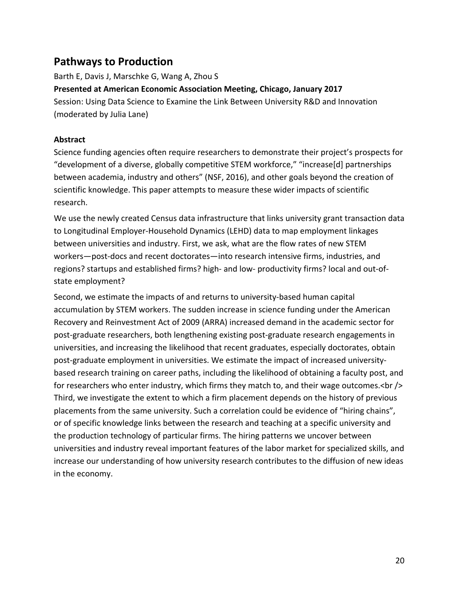## **Pathways to Production**

 Barth E, Davis J, Marschke G, Wang A, Zhou S  **Presented at American Economic Association Meeting, Chicago, January 2017**  Session: Using Data Science to Examine the Link Between University R&D and Innovation (moderated by Julia Lane)

### **Abstract**

 Science funding agencies often require researchers to demonstrate their project's prospects for "development of a diverse, globally competitive STEM workforce," "increase[d] partnerships between academia, industry and others" (NSF, 2016), and other goals beyond the creation of scientific knowledge. This paper attempts to measure these wider impacts of scientific research.

 We use the newly created Census data infrastructure that links university grant transaction data to Longitudinal Employer-Household Dynamics (LEHD) data to map employment linkages between universities and industry. First, we ask, what are the flow rates of new STEM workers—post-docs and recent doctorates—into research intensive firms, industries, and regions? startups and established firms? high- and low- productivity firms? local and out-ofstate employment?

 Second, we estimate the impacts of and returns to university-based human capital accumulation by STEM workers. The sudden increase in science funding under the American Recovery and Reinvestment Act of 2009 (ARRA) increased demand in the academic sector for post-graduate researchers, both lengthening existing post-graduate research engagements in universities, and increasing the likelihood that recent graduates, especially doctorates, obtain post-graduate employment in universities. We estimate the impact of increased university- based research training on career paths, including the likelihood of obtaining a faculty post, and for researchers who enter industry, which firms they match to, and their wage outcomes.<br />> Third, we investigate the extent to which a firm placement depends on the history of previous placements from the same university. Such a correlation could be evidence of "hiring chains", or of specific knowledge links between the research and teaching at a specific university and the production technology of particular firms. The hiring patterns we uncover between universities and industry reveal important features of the labor market for specialized skills, and increase our understanding of how university research contributes to the diffusion of new ideas in the economy.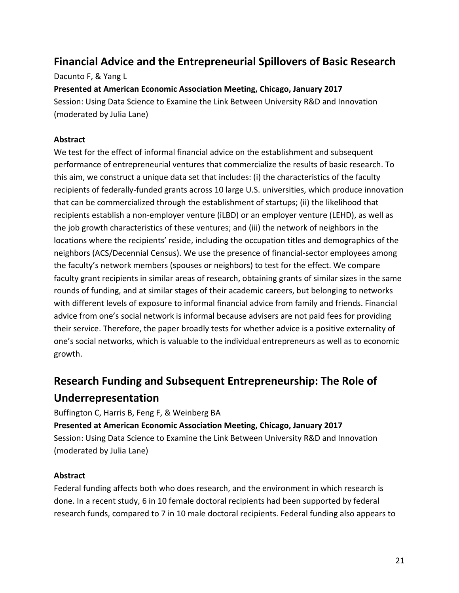## **Financial Advice and the Entrepreneurial Spillovers of Basic Research**

Dacunto F, & Yang L

 **Presented at American Economic Association Meeting, Chicago, January 2017**  Session: Using Data Science to Examine the Link Between University R&D and Innovation (moderated by Julia Lane)

### **Abstract**

 We test for the effect of informal financial advice on the establishment and subsequent performance of entrepreneurial ventures that commercialize the results of basic research. To this aim, we construct a unique data set that includes: (i) the characteristics of the faculty recipients of federally-funded grants across 10 large U.S. universities, which produce innovation that can be commercialized through the establishment of startups; (ii) the likelihood that recipients establish a non-employer venture (iLBD) or an employer venture (LEHD), as well as the job growth characteristics of these ventures; and (iii) the network of neighbors in the locations where the recipients' reside, including the occupation titles and demographics of the neighbors (ACS/Decennial Census). We use the presence of financial-sector employees among the faculty's network members (spouses or neighbors) to test for the effect. We compare faculty grant recipients in similar areas of research, obtaining grants of similar sizes in the same rounds of funding, and at similar stages of their academic careers, but belonging to networks with different levels of exposure to informal financial advice from family and friends. Financial advice from one's social network is informal because advisers are not paid fees for providing their service. Therefore, the paper broadly tests for whether advice is a positive externality of one's social networks, which is valuable to the individual entrepreneurs as well as to economic growth.

# **Research Funding and Subsequent Entrepreneurship: The Role of Underrepresentation**

Buffington C, Harris B, Feng F, & Weinberg BA

 **Presented at American Economic Association Meeting, Chicago, January 2017**  Session: Using Data Science to Examine the Link Between University R&D and Innovation (moderated by Julia Lane)

### **Abstract**

 Federal funding affects both who does research, and the environment in which research is done. In a recent study, 6 in 10 female doctoral recipients had been supported by federal research funds, compared to 7 in 10 male doctoral recipients. Federal funding also appears to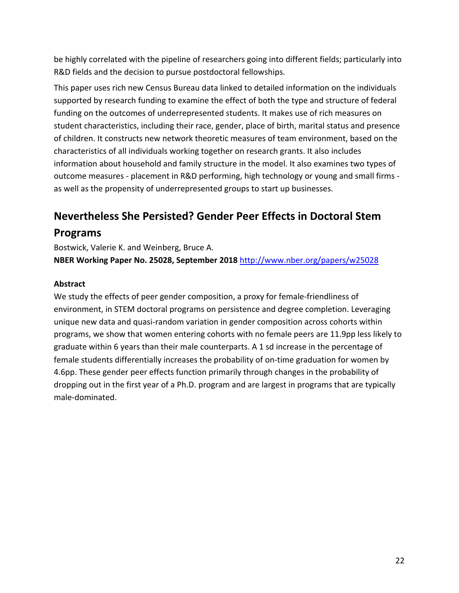be highly correlated with the pipeline of researchers going into different fields; particularly into R&D fields and the decision to pursue postdoctoral fellowships.

 This paper uses rich new Census Bureau data linked to detailed information on the individuals supported by research funding to examine the effect of both the type and structure of federal funding on the outcomes of underrepresented students. It makes use of rich measures on student characteristics, including their race, gender, place of birth, marital status and presence of children. It constructs new network theoretic measures of team environment, based on the characteristics of all individuals working together on research grants. It also includes information about household and family structure in the model. It also examines two types of outcome measures - placement in R&D performing, high technology or young and small firms - as well as the propensity of underrepresented groups to start up businesses.

## **Nevertheless She Persisted? Gender Peer Effects in Doctoral Stem Programs**

 Bostwick, Valerie K. and Weinberg, Bruce A.  **NBER Working Paper No. 25028, September 2018** <http://www.nber.org/papers/w25028>

### **Abstract**

 We study the effects of peer gender composition, a proxy for female-friendliness of environment, in STEM doctoral programs on persistence and degree completion. Leveraging unique new data and quasi-random variation in gender composition across cohorts within programs, we show that women entering cohorts with no female peers are 11.9pp less likely to graduate within 6 years than their male counterparts. A 1 sd increase in the percentage of female students differentially increases the probability of on-time graduation for women by 4.6pp. These gender peer effects function primarily through changes in the probability of dropping out in the first year of a Ph.D. program and are largest in programs that are typically male-dominated.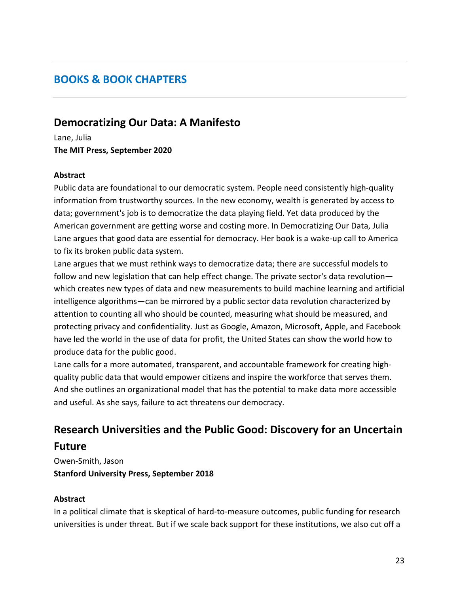## **BOOKS & BOOK CHAPTERS**

## **Democratizing Our Data: A Manifesto**

 Lane, Julia  **The MIT Press, September 2020** 

#### **Abstract**

 Public data are foundational to our democratic system. People need consistently high-quality information from trustworthy sources. In the new economy, wealth is generated by access to data; government's job is to democratize the data playing field. Yet data produced by the American government are getting worse and costing more. In Democratizing Our Data, Julia Lane argues that good data are essential for democracy. Her book is a wake-up call to America to fix its broken public data system.

 Lane argues that we must rethink ways to democratize data; there are successful models to follow and new legislation that can help effect change. The private sector's data revolution— which creates new types of data and new measurements to build machine learning and artificial intelligence algorithms—can be mirrored by a public sector data revolution characterized by attention to counting all who should be counted, measuring what should be measured, and protecting privacy and confidentiality. Just as Google, Amazon, Microsoft, Apple, and Facebook have led the world in the use of data for profit, the United States can show the world how to produce data for the public good.

 Lane calls for a more automated, transparent, and accountable framework for creating high- quality public data that would empower citizens and inspire the workforce that serves them. And she outlines an organizational model that has the potential to make data more accessible and useful. As she says, failure to act threatens our democracy.

### **Research Universities and the Public Good: Discovery for an Uncertain**

### **Future**

 Owen-Smith, Jason **Stanford University Press, September 2018** 

### **Abstract**

 In a political climate that is skeptical of hard-to-measure outcomes, public funding for research universities is under threat. But if we scale back support for these institutions, we also cut off a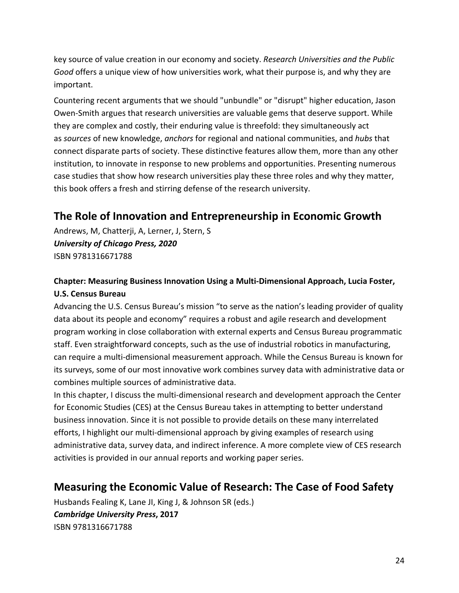key source of value creation in our economy and society. *Research Universities and the Public Good* offers a unique view of how universities work, what their purpose is, and why they are important.

 Countering recent arguments that we should "unbundle" or "disrupt" higher education, Jason Owen-Smith argues that research universities are valuable gems that deserve support. While they are complex and costly, their enduring value is threefold: they simultaneously act as *sources* of new knowledge, *anchors* for regional and national communities, and *hubs* that connect disparate parts of society. These distinctive features allow them, more than any other institution, to innovate in response to new problems and opportunities. Presenting numerous case studies that show how research universities play these three roles and why they matter, this book offers a fresh and stirring defense of the research university.

## **The Role of Innovation and Entrepreneurship in Economic Growth**

 Andrews, M, Chatterji, A, Lerner, J, Stern, S  *University of Chicago Press, 2020*  ISBN 9781316671788

### **Chapter: Measuring Business Innovation Using a Multi-Dimensional Approach, Lucia Foster, U.S. Census Bureau**

 Advancing the U.S. Census Bureau's mission "to serve as the nation's leading provider of quality data about its people and economy" requires a robust and agile research and development program working in close collaboration with external experts and Census Bureau programmatic staff. Even straightforward concepts, such as the use of industrial robotics in manufacturing, can require a multi-dimensional measurement approach. While the Census Bureau is known for its surveys, some of our most innovative work combines survey data with administrative data or combines multiple sources of administrative data.

 In this chapter, I discuss the multi-dimensional research and development approach the Center for Economic Studies (CES) at the Census Bureau takes in attempting to better understand business innovation. Since it is not possible to provide details on these many interrelated efforts, I highlight our multi-dimensional approach by giving examples of research using administrative data, survey data, and indirect inference. A more complete view of CES research activities is provided in our annual reports and working paper series.

## **Measuring the Economic Value of Research: The Case of Food Safety**

 Husbands Fealing K, Lane JI, King J, & Johnson SR (eds.)  *Cambridge University Press***, 2017**  ISBN 9781316671788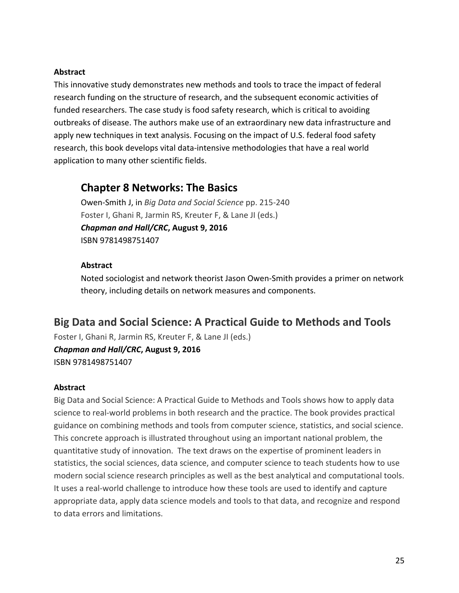#### **Abstract**

 This innovative study demonstrates new methods and tools to trace the impact of federal research funding on the structure of research, and the subsequent economic activities of funded researchers. The case study is food safety research, which is critical to avoiding outbreaks of disease. The authors make use of an extraordinary new data infrastructure and apply new techniques in text analysis. Focusing on the impact of U.S. federal food safety research, this book develops vital data-intensive methodologies that have a real world application to many other scientific fields.

### **Chapter 8 Networks: The Basics**

 Owen-Smith J, in *Big Data and Social Science* pp. 215-240 Foster I, Ghani R, Jarmin RS, Kreuter F, & Lane JI (eds.)  *Chapman and Hall/CRC***, August 9, 2016**  ISBN 9781498751407

#### **Abstract**

 Noted sociologist and network theorist Jason Owen-Smith provides a primer on network theory, including details on network measures and components.

### **Big Data and Social Science: A Practical Guide to Methods and Tools**

Foster I, Ghani R, Jarmin RS, Kreuter F, & Lane JI (eds.)

 *Chapman and Hall/CRC***, August 9, 2016**  ISBN 9781498751407

#### **Abstract**

 Big Data and Social Science: A Practical Guide to Methods and Tools shows how to apply data science to real-world problems in both research and the practice. The book provides practical guidance on combining methods and tools from computer science, statistics, and social science. This concrete approach is illustrated throughout using an important national problem, the quantitative study of innovation. The text draws on the expertise of prominent leaders in statistics, the social sciences, data science, and computer science to teach students how to use modern social science research principles as well as the best analytical and computational tools. It uses a real-world challenge to introduce how these tools are used to identify and capture appropriate data, apply data science models and tools to that data, and recognize and respond to data errors and limitations.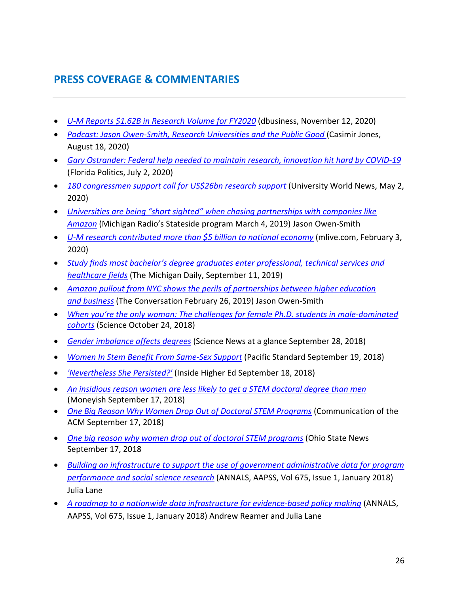## **PRESS COVERAGE & COMMENTARIES**

- *U-M Reports \$1.62B in Research Volume for FY2020* (dbusiness, November 12, 2020)
- *Podcast: Jason Owen-Smith, Research Universities and the Public Good* (Casimir Jones, August 18, 2020)
- *Gary Ostrander: Federal help needed to maintain research, innovation hit hard by COVID-19*  (Florida Politics, July 2, 2020)
- 180 congressmen support call for US\$26bn research support (University World News, May 2, 2020)
- *Universities are being "short sighted" when chasing partnerships with companies like Amazon* (Michigan Radio's Stateside program March 4, 2019) Jason Owen-Smith
- *U-M research contributed more than \$5 billion to national economy* ([mlive.com](https://mlive.com), February 3, 2020)
- *Study finds most bachelor's degree graduates enter professional, technical services and healthcare fields* (The Michigan Daily, September 11, 2019)
- **Amazon pullout from NYC shows the perils of partnerships between higher education** *and business* (The Conversation February 26, 2019) Jason Owen-Smith
- *When you're the only woman: The challenges for female Ph.D. students in male-dominated cohorts* (Science October 24, 2018)
- *Gender imbalance affects degrees* (Science News at a glance September 28, 2018)
- *Women In Stem Benefit From Same-Sex Support* (Pacific Standard September 19, 2018)
- *'Nevertheless She Persisted?'* (Inside Higher Ed September 18, 2018)
- An insidious reason women are less likely to get a STEM doctoral degree than men (Moneyish September 17, 2018)
- *One Big Reason Why Women Drop Out of Doctoral STEM Programs* **(Communication of the** ACM September 17, 2018)
- *One big reason why women drop out of doctoral STEM programs* (Ohio State News September 17, 2018
- *Building an infrastructure to support the use of government administrative data for program performance and social science research* (ANNALS, AAPSS, Vol 675, Issue 1, January 2018) Julia Lane
- A roadmap to a nationwide data infrastructure for evidence-based policy making (ANNALS, AAPSS, Vol 675, Issue 1, January 2018) Andrew Reamer and Julia Lane